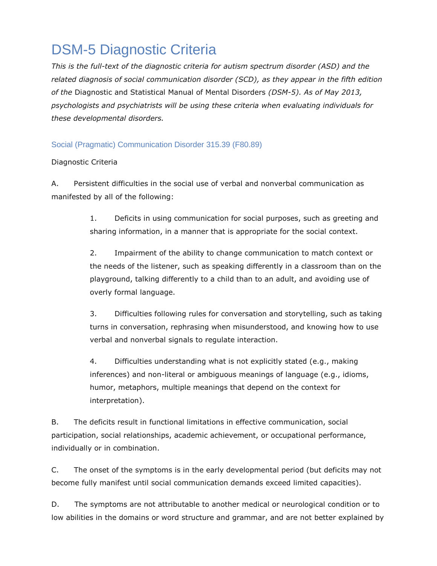# DSM-5 Diagnostic Criteria

*This is the full-text of the diagnostic criteria for autism spectrum disorder (ASD) and the related diagnosis of social communication disorder (SCD), as they appear in the fifth edition of the* Diagnostic and Statistical Manual of Mental Disorders *(DSM-5). As of May 2013, psychologists and psychiatrists will be using these criteria when evaluating individuals for these developmental disorders.* 

## Social (Pragmatic) Communication Disorder 315.39 (F80.89)

## Diagnostic Criteria

A. Persistent difficulties in the social use of verbal and nonverbal communication as manifested by all of the following:

> 1. Deficits in using communication for social purposes, such as greeting and sharing information, in a manner that is appropriate for the social context.

2. Impairment of the ability to change communication to match context or the needs of the listener, such as speaking differently in a classroom than on the playground, talking differently to a child than to an adult, and avoiding use of overly formal language.

3. Difficulties following rules for conversation and storytelling, such as taking turns in conversation, rephrasing when misunderstood, and knowing how to use verbal and nonverbal signals to regulate interaction.

4. Difficulties understanding what is not explicitly stated (e.g., making inferences) and non-literal or ambiguous meanings of language (e.g., idioms, humor, metaphors, multiple meanings that depend on the context for interpretation).

B. The deficits result in functional limitations in effective communication, social participation, social relationships, academic achievement, or occupational performance, individually or in combination.

C. The onset of the symptoms is in the early developmental period (but deficits may not become fully manifest until social communication demands exceed limited capacities).

D. The symptoms are not attributable to another medical or neurological condition or to low abilities in the domains or word structure and grammar, and are not better explained by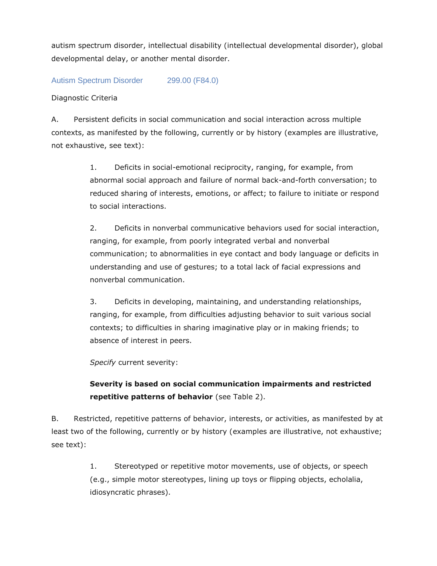autism spectrum disorder, intellectual disability (intellectual developmental disorder), global developmental delay, or another mental disorder.

Autism Spectrum Disorder 299.00 (F84.0)

Diagnostic Criteria

A. Persistent deficits in social communication and social interaction across multiple contexts, as manifested by the following, currently or by history (examples are illustrative, not exhaustive, see text):

> 1. Deficits in social-emotional reciprocity, ranging, for example, from abnormal social approach and failure of normal back-and-forth conversation; to reduced sharing of interests, emotions, or affect; to failure to initiate or respond to social interactions.

> 2. Deficits in nonverbal communicative behaviors used for social interaction, ranging, for example, from poorly integrated verbal and nonverbal communication; to abnormalities in eye contact and body language or deficits in understanding and use of gestures; to a total lack of facial expressions and nonverbal communication.

3. Deficits in developing, maintaining, and understanding relationships, ranging, for example, from difficulties adjusting behavior to suit various social contexts; to difficulties in sharing imaginative play or in making friends; to absence of interest in peers.

*Specify* current severity:

**Severity is based on social communication impairments and restricted repetitive patterns of behavior** (see Table 2).

B. Restricted, repetitive patterns of behavior, interests, or activities, as manifested by at least two of the following, currently or by history (examples are illustrative, not exhaustive; see text):

> 1. Stereotyped or repetitive motor movements, use of objects, or speech (e.g., simple motor stereotypes, lining up toys or flipping objects, echolalia, idiosyncratic phrases).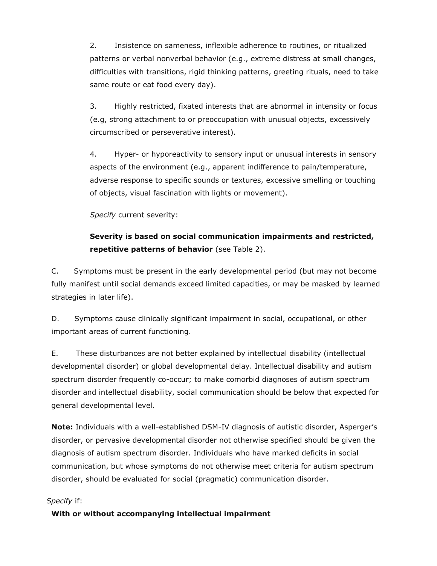2. Insistence on sameness, inflexible adherence to routines, or ritualized patterns or verbal nonverbal behavior (e.g., extreme distress at small changes, difficulties with transitions, rigid thinking patterns, greeting rituals, need to take same route or eat food every day).

3. Highly restricted, fixated interests that are abnormal in intensity or focus (e.g, strong attachment to or preoccupation with unusual objects, excessively circumscribed or perseverative interest).

4. Hyper- or hyporeactivity to sensory input or unusual interests in sensory aspects of the environment (e.g., apparent indifference to pain/temperature, adverse response to specific sounds or textures, excessive smelling or touching of objects, visual fascination with lights or movement).

*Specify* current severity:

# **Severity is based on social communication impairments and restricted, repetitive patterns of behavior** (see Table 2).

C. Symptoms must be present in the early developmental period (but may not become fully manifest until social demands exceed limited capacities, or may be masked by learned strategies in later life).

D. Symptoms cause clinically significant impairment in social, occupational, or other important areas of current functioning.

E. These disturbances are not better explained by intellectual disability (intellectual developmental disorder) or global developmental delay. Intellectual disability and autism spectrum disorder frequently co-occur; to make comorbid diagnoses of autism spectrum disorder and intellectual disability, social communication should be below that expected for general developmental level.

**Note:** Individuals with a well-established DSM-IV diagnosis of autistic disorder, Asperger's disorder, or pervasive developmental disorder not otherwise specified should be given the diagnosis of autism spectrum disorder. Individuals who have marked deficits in social communication, but whose symptoms do not otherwise meet criteria for autism spectrum disorder, should be evaluated for social (pragmatic) communication disorder.

## *Specify* if:

**With or without accompanying intellectual impairment**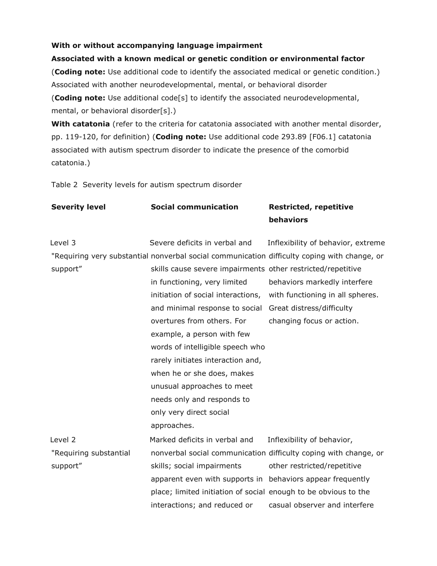### **With or without accompanying language impairment**

### **Associated with a known medical or genetic condition or environmental factor**

(**Coding note:** Use additional code to identify the associated medical or genetic condition.) Associated with another neurodevelopmental, mental, or behavioral disorder

(**Coding note:** Use additional code[s] to identify the associated neurodevelopmental, mental, or behavioral disorder[s].)

With catatonia (refer to the criteria for catatonia associated with another mental disorder, pp. 119-120, for definition) (**Coding note:** Use additional code 293.89 [F06.1] catatonia associated with autism spectrum disorder to indicate the presence of the comorbid catatonia.)

Table 2 Severity levels for autism spectrum disorder

| <b>Severity level</b>  | <b>Social communication</b>                                     | <b>Restricted, repetitive</b>                                                                |
|------------------------|-----------------------------------------------------------------|----------------------------------------------------------------------------------------------|
|                        |                                                                 | <b>behaviors</b>                                                                             |
| Level 3                | Severe deficits in verbal and                                   | Inflexibility of behavior, extreme                                                           |
|                        |                                                                 | "Requiring very substantial nonverbal social communication difficulty coping with change, or |
| support"               | skills cause severe impairments other restricted/repetitive     |                                                                                              |
|                        | in functioning, very limited                                    | behaviors markedly interfere                                                                 |
|                        | initiation of social interactions,                              | with functioning in all spheres.                                                             |
|                        | and minimal response to social                                  | Great distress/difficulty                                                                    |
|                        | overtures from others. For                                      | changing focus or action.                                                                    |
|                        | example, a person with few                                      |                                                                                              |
|                        | words of intelligible speech who                                |                                                                                              |
|                        | rarely initiates interaction and,                               |                                                                                              |
|                        | when he or she does, makes                                      |                                                                                              |
|                        | unusual approaches to meet                                      |                                                                                              |
|                        | needs only and responds to                                      |                                                                                              |
|                        | only very direct social                                         |                                                                                              |
|                        | approaches.                                                     |                                                                                              |
| Level 2                | Marked deficits in verbal and                                   | Inflexibility of behavior,                                                                   |
| "Requiring substantial |                                                                 | nonverbal social communication difficulty coping with change, or                             |
| support"               | skills; social impairments                                      | other restricted/repetitive                                                                  |
|                        | apparent even with supports in behaviors appear frequently      |                                                                                              |
|                        | place; limited initiation of social enough to be obvious to the |                                                                                              |

interactions; and reduced or casual observer and interfere